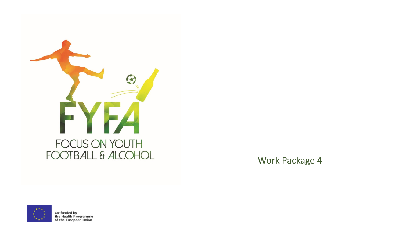

Work Package 4



Co-funded by<br>the Health Programme<br>of the European Union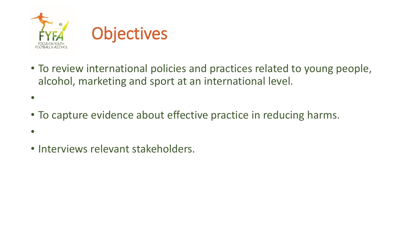

- To review international policies and practices related to young people, alcohol, marketing and sport at an international level.
- To capture evidence about effective practice in reducing harms.
- •

•

• Interviews relevant stakeholders.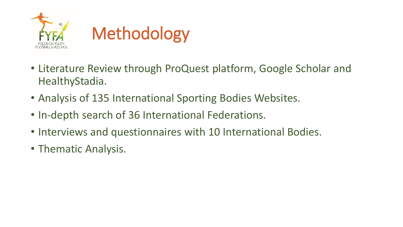

- Literature Review through ProQuest platform, Google Scholar and HealthyStadia.
- Analysis of 135 International Sporting Bodies Websites.
- In-depth search of 36 International Federations.
- Interviews and questionnaires with 10 International Bodies.
- Thematic Analysis.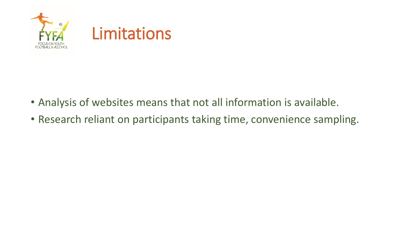

- Analysis of websites means that not all information is available.
- Research reliant on participants taking time, convenience sampling.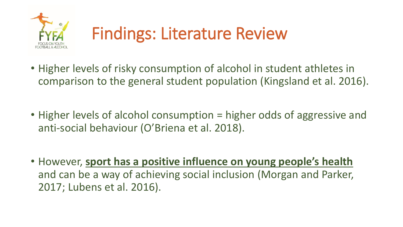

- Higher levels of risky consumption of alcohol in student athletes in comparison to the general student population (Kingsland et al. 2016).
- Higher levels of alcohol consumption = higher odds of aggressive and anti-social behaviour (O'Briena et al. 2018).
- However, **sport has a positive influence on young people's health**  and can be a way of achieving social inclusion (Morgan and Parker, 2017; Lubens et al. 2016).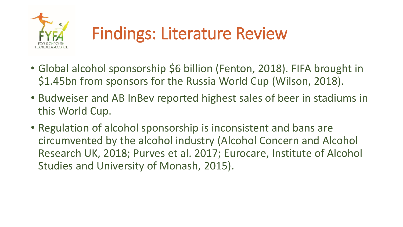

- Global alcohol sponsorship \$6 billion (Fenton, 2018). FIFA brought in \$1.45bn from sponsors for the Russia World Cup (Wilson, 2018).
- Budweiser and AB InBev reported highest sales of beer in stadiums in this World Cup.
- Regulation of alcohol sponsorship is inconsistent and bans are circumvented by the alcohol industry (Alcohol Concern and Alcohol Research UK, 2018; Purves et al. 2017; Eurocare, Institute of Alcohol Studies and University of Monash, 2015).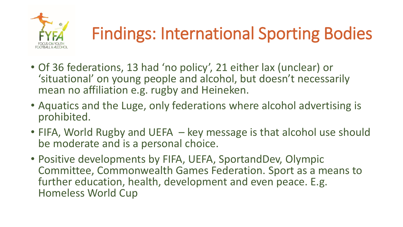

# Findings: International Sporting Bodies

- Of 36 federations, 13 had 'no policy', 21 either lax (unclear) or 'situational' on young people and alcohol, but doesn't necessarily mean no affiliation e.g. rugby and Heineken.
- Aquatics and the Luge, only federations where alcohol advertising is prohibited.
- FIFA, World Rugby and UEFA key message is that alcohol use should be moderate and is a personal choice.
- Positive developments by FIFA, UEFA, SportandDev, Olympic Committee, Commonwealth Games Federation. Sport as a means to further education, health, development and even peace. E.g. Homeless World Cup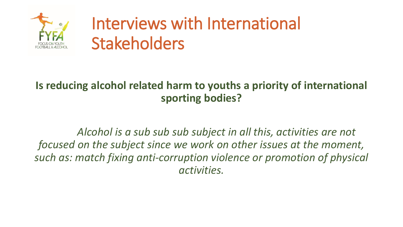

#### **Is reducing alcohol related harm to youths a priority of international sporting bodies?**

*Alcohol is a sub sub sub subject in all this, activities are not focused on the subject since we work on other issues at the moment, such as: match fixing anti-corruption violence or promotion of physical activities.*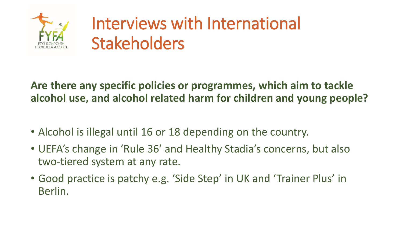

#### **Are there any specific policies or programmes, which aim to tackle alcohol use, and alcohol related harm for children and young people?**

- Alcohol is illegal until 16 or 18 depending on the country.
- UEFA's change in 'Rule 36' and Healthy Stadia's concerns, but also two-tiered system at any rate.
- Good practice is patchy e.g. 'Side Step' in UK and 'Trainer Plus' in Berlin.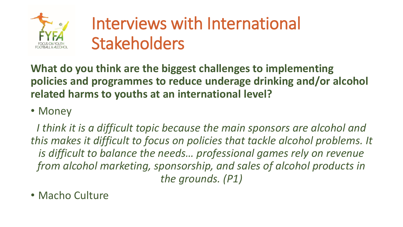

**What do you think are the biggest challenges to implementing policies and programmes to reduce underage drinking and/or alcohol related harms to youths at an international level?** 

#### • Money

*I think it is a difficult topic because the main sponsors are alcohol and this makes it difficult to focus on policies that tackle alcohol problems. It is difficult to balance the needs… professional games rely on revenue from alcohol marketing, sponsorship, and sales of alcohol products in the grounds. (P1)*

• Macho Culture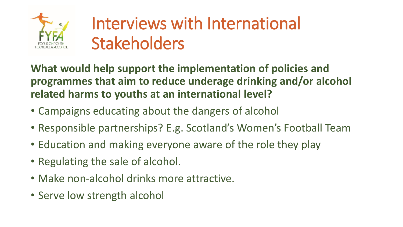

**What would help support the implementation of policies and programmes that aim to reduce underage drinking and/or alcohol related harms to youths at an international level?**

- Campaigns educating about the dangers of alcohol
- Responsible partnerships? E.g. Scotland's Women's Football Team
- Education and making everyone aware of the role they play
- Regulating the sale of alcohol.
- Make non-alcohol drinks more attractive.
- Serve low strength alcohol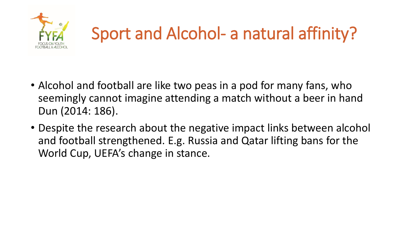

## Sport and Alcohol- a natural affinity?

- Alcohol and football are like two peas in a pod for many fans, who seemingly cannot imagine attending a match without a beer in hand Dun (2014: 186).
- Despite the research about the negative impact links between alcohol and football strengthened. E.g. Russia and Qatar lifting bans for the World Cup, UEFA's change in stance.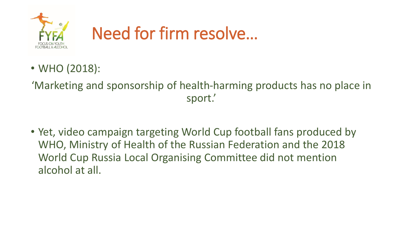

- WHO (2018):
- 'Marketing and sponsorship of health-harming products has no place in sport.'
- Yet, video campaign targeting World Cup football fans produced by WHO, Ministry of Health of the Russian Federation and the 2018 World Cup Russia Local Organising Committee did not mention alcohol at all.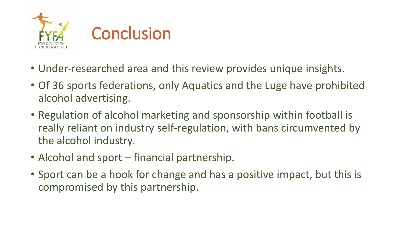

- Under-researched area and this review provides unique insights.
- Of 36 sports federations, only Aquatics and the Luge have prohibited alcohol advertising.
- Regulation of alcohol marketing and sponsorship within football is really reliant on industry self-regulation, with bans circumvented by the alcohol industry.
- Alcohol and sport financial partnership.
- Sport can be a hook for change and has a positive impact, but this is compromised by this partnership.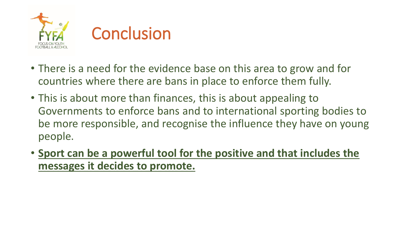

- There is a need for the evidence base on this area to grow and for countries where there are bans in place to enforce them fully.
- This is about more than finances, this is about appealing to Governments to enforce bans and to international sporting bodies to be more responsible, and recognise the influence they have on young people.
- **Sport can be a powerful tool for the positive and that includes the messages it decides to promote.**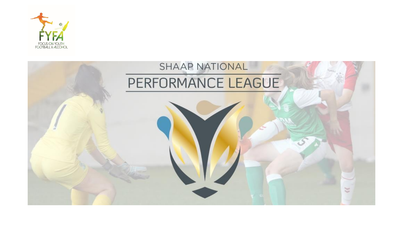

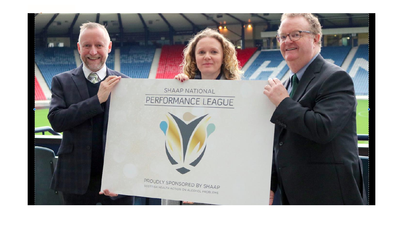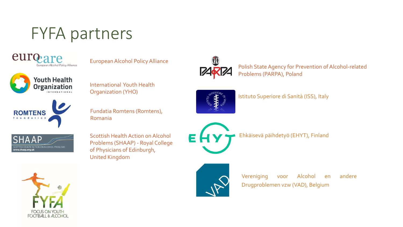### FYFA partners



European Alcohol Policy Alliance



International Youth Health Organization (YHO)



Fundatia Romtens (Romtens), Romania



Scottish Health Action on Alcohol Problems (SHAAP) - Royal College of Physicians of Edinburgh, United Kingdom



Polish State Agency for Prevention of Alcohol-related Problems (PARPA), Poland



Istituto Superiore di Sanità (ISS), Italy

Ehkäisevä päihdetyö (EHYT), Finland

Vereniging voor Alcohol en andere Drugproblemen vzw (VAD), Belgium